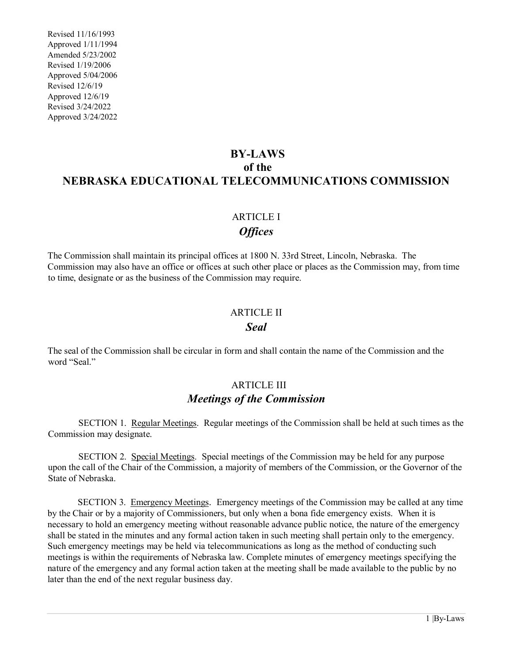Revised 11/16/1993 Approved 1/11/1994 Amended 5/23/2002 Revised 1/19/2006 Approved 5/04/2006 Revised 12/6/19 Approved 12/6/19 Revised 3/24/2022 Approved 3/24/2022

# **BY-LAWS of the NEBRASKA EDUCATIONAL TELECOMMUNICATIONS COMMISSION**

### ARTICLE I *Offices*

The Commission shall maintain its principal offices at 1800 N. 33rd Street, Lincoln, Nebraska. The Commission may also have an office or offices at such other place or places as the Commission may, from time to time, designate or as the business of the Commission may require.

## ARTICLE II *Seal*

The seal of the Commission shall be circular in form and shall contain the name of the Commission and the word "Seal."

### ARTICLE III *Meetings of the Commission*

 SECTION 1. Regular Meetings. Regular meetings of the Commission shall be held at such times as the Commission may designate.

 SECTION 2. Special Meetings. Special meetings of the Commission may be held for any purpose upon the call of the Chair of the Commission, a majority of members of the Commission, or the Governor of the State of Nebraska.

SECTION 3. Emergency Meetings. Emergency meetings of the Commission may be called at any time by the Chair or by a majority of Commissioners, but only when a bona fide emergency exists. When it is necessary to hold an emergency meeting without reasonable advance public notice, the nature of the emergency shall be stated in the minutes and any formal action taken in such meeting shall pertain only to the emergency. Such emergency meetings may be held via telecommunications as long as the method of conducting such meetings is within the requirements of Nebraska law. Complete minutes of emergency meetings specifying the nature of the emergency and any formal action taken at the meeting shall be made available to the public by no later than the end of the next regular business day.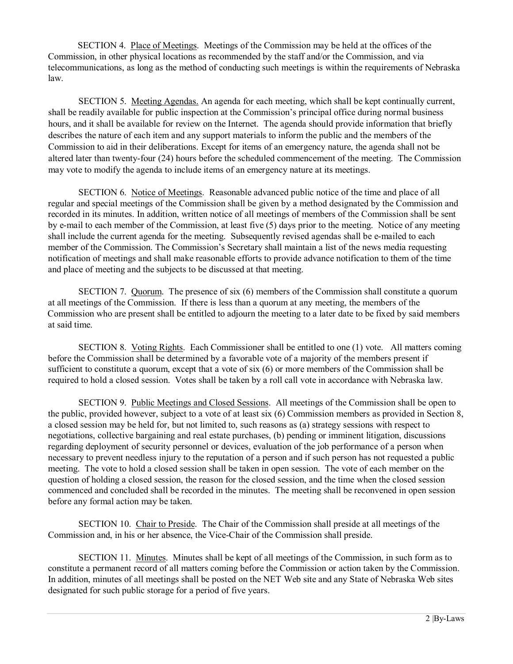SECTION 4. Place of Meetings. Meetings of the Commission may be held at the offices of the Commission, in other physical locations as recommended by the staff and/or the Commission, and via telecommunications, as long as the method of conducting such meetings is within the requirements of Nebraska law.

 SECTION 5. Meeting Agendas. An agenda for each meeting, which shall be kept continually current, shall be readily available for public inspection at the Commission's principal office during normal business hours, and it shall be available for review on the Internet. The agenda should provide information that briefly describes the nature of each item and any support materials to inform the public and the members of the Commission to aid in their deliberations. Except for items of an emergency nature, the agenda shall not be altered later than twenty-four (24) hours before the scheduled commencement of the meeting. The Commission may vote to modify the agenda to include items of an emergency nature at its meetings.

 SECTION 6. Notice of Meetings. Reasonable advanced public notice of the time and place of all regular and special meetings of the Commission shall be given by a method designated by the Commission and recorded in its minutes. In addition, written notice of all meetings of members of the Commission shall be sent by e-mail to each member of the Commission, at least five (5) days prior to the meeting. Notice of any meeting shall include the current agenda for the meeting. Subsequently revised agendas shall be e-mailed to each member of the Commission. The Commission's Secretary shall maintain a list of the news media requesting notification of meetings and shall make reasonable efforts to provide advance notification to them of the time and place of meeting and the subjects to be discussed at that meeting.

 SECTION 7. Quorum. The presence of six (6) members of the Commission shall constitute a quorum at all meetings of the Commission. If there is less than a quorum at any meeting, the members of the Commission who are present shall be entitled to adjourn the meeting to a later date to be fixed by said members at said time.

 SECTION 8. Voting Rights. Each Commissioner shall be entitled to one (1) vote. All matters coming before the Commission shall be determined by a favorable vote of a majority of the members present if sufficient to constitute a quorum, except that a vote of six (6) or more members of the Commission shall be required to hold a closed session. Votes shall be taken by a roll call vote in accordance with Nebraska law.

 SECTION 9. Public Meetings and Closed Sessions. All meetings of the Commission shall be open to the public, provided however, subject to a vote of at least six (6) Commission members as provided in Section 8, a closed session may be held for, but not limited to, such reasons as (a) strategy sessions with respect to negotiations, collective bargaining and real estate purchases, (b) pending or imminent litigation, discussions regarding deployment of security personnel or devices, evaluation of the job performance of a person when necessary to prevent needless injury to the reputation of a person and if such person has not requested a public meeting. The vote to hold a closed session shall be taken in open session. The vote of each member on the question of holding a closed session, the reason for the closed session, and the time when the closed session commenced and concluded shall be recorded in the minutes. The meeting shall be reconvened in open session before any formal action may be taken.

 SECTION 10. Chair to Preside. The Chair of the Commission shall preside at all meetings of the Commission and, in his or her absence, the Vice-Chair of the Commission shall preside.

 SECTION 11. Minutes. Minutes shall be kept of all meetings of the Commission, in such form as to constitute a permanent record of all matters coming before the Commission or action taken by the Commission. In addition, minutes of all meetings shall be posted on the NET Web site and any State of Nebraska Web sites designated for such public storage for a period of five years.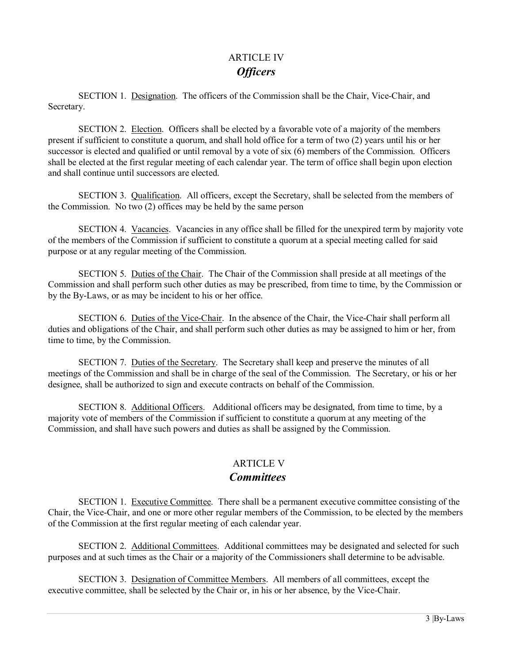# ARTICLE IV *Officers*

 SECTION 1. Designation. The officers of the Commission shall be the Chair, Vice-Chair, and Secretary.

SECTION 2. Election. Officers shall be elected by a favorable vote of a majority of the members present if sufficient to constitute a quorum, and shall hold office for a term of two (2) years until his or her successor is elected and qualified or until removal by a vote of six (6) members of the Commission. Officers shall be elected at the first regular meeting of each calendar year. The term of office shall begin upon election and shall continue until successors are elected.

 SECTION 3. Qualification. All officers, except the Secretary, shall be selected from the members of the Commission. No two (2) offices may be held by the same person

SECTION 4. Vacancies. Vacancies in any office shall be filled for the unexpired term by majority vote of the members of the Commission if sufficient to constitute a quorum at a special meeting called for said purpose or at any regular meeting of the Commission.

 SECTION 5. Duties of the Chair. The Chair of the Commission shall preside at all meetings of the Commission and shall perform such other duties as may be prescribed, from time to time, by the Commission or by the By-Laws, or as may be incident to his or her office.

 SECTION 6. Duties of the Vice-Chair. In the absence of the Chair, the Vice-Chair shall perform all duties and obligations of the Chair, and shall perform such other duties as may be assigned to him or her, from time to time, by the Commission.

 SECTION 7. Duties of the Secretary. The Secretary shall keep and preserve the minutes of all meetings of the Commission and shall be in charge of the seal of the Commission. The Secretary, or his or her designee, shall be authorized to sign and execute contracts on behalf of the Commission.

SECTION 8. Additional Officers. Additional officers may be designated, from time to time, by a majority vote of members of the Commission if sufficient to constitute a quorum at any meeting of the Commission, and shall have such powers and duties as shall be assigned by the Commission.

# **ARTICLE V**

### *Committees*

 SECTION 1. Executive Committee. There shall be a permanent executive committee consisting of the Chair, the Vice-Chair, and one or more other regular members of the Commission, to be elected by the members of the Commission at the first regular meeting of each calendar year.

 SECTION 2. Additional Committees. Additional committees may be designated and selected for such purposes and at such times as the Chair or a majority of the Commissioners shall determine to be advisable.

 SECTION 3. Designation of Committee Members. All members of all committees, except the executive committee, shall be selected by the Chair or, in his or her absence, by the Vice-Chair.